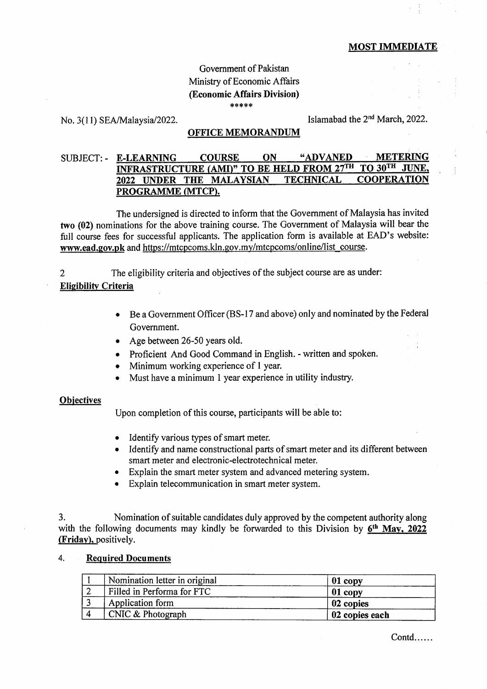### MOST IMMEDIATE

## Govemment of Pakistan Ministry of Economic Affairs @conomic Affairs Division) \*\*\*\*\*

No.  $3(11)$  SEA/Malaysia/2022. Islamabad the  $2<sup>nd</sup>$  March, 2022.

### OFFICE MEMORANDUM

# SUBJECT:- E-LEARNING COURSE ON "ADVANED METERING INFRASTRUCTURE (AMI)" TO BE HELD FROM 27<sup>th</sup> to 30<sup>th</sup> JUNE. 2022 UNDER THE MALAYSIAN TECHNICAL COOPERATION PROGRAMME (MTCP).

The undersigned is directed to inform that the Government of Malaysia has invited two (02) nominations for the above training course. The Government of Malaysia will bear the full course fees for successful applicants. The application form is available at EAD's website: www.ead.gov.pk and https://mtcpcoms.kln.gov.my/mtcpcoms/online/list\_course.

2 The eligibility criteria and objectives of the subject course are as under:

## **Eligibility Criteria**

- Be a Government Officer (BS-17 and above) only and nominated by the Federal Government.
- Age between 26-50 years old.
- Proficient And Good Command in English. written and spoken.
- Minimum working experience of 1 year.
- Must have a minimum 1 year experience in utility industry.

#### **Objectives**

Upon completion of this course, participants will be able to:

- . Identify various types of smart meter.
- Identify and name constructional parts of smart meter and its different between smart meter and electronic-electrotechnical meter.
- Explain the smart meter system and advanced metering system.
- Explain telecommunication in smart meter system.

3. Nomination of suitable candidates duly approved by the competent authority along with the following documents may kindly be forwarded to this Division by  $6<sup>th</sup>$  May, 2022 (Fridav). positively.

#### 4. Required Documents

| Nomination letter in original | 01 copy        |
|-------------------------------|----------------|
| Filled in Performa for FTC    | $01$ copy      |
| Application form              | 02 copies      |
| $CNIC$ & Photograph           | 02 copies each |

Contd......